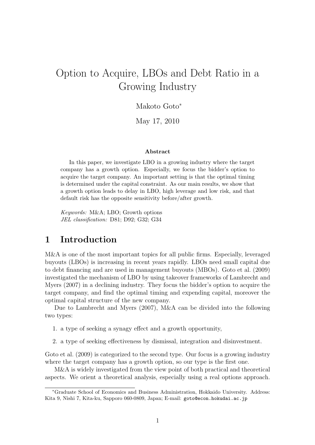# Option to Acquire, LBOs and Debt Ratio in a Growing Industry

#### Makoto Goto*<sup>∗</sup>*

May 17, 2010

#### **Abstract**

In this paper, we investigate LBO in a growing industry where the target company has a growth option. Especially, we focus the bidder's option to acquire the target company. An important setting is that the optimal timing is determined under the capital constraint. As our main results, we show that a growth option leads to delay in LBO, high leverage and low risk, and that default risk has the opposite sensitivity before/after growth.

*Keywords:* M&A; LBO; Growth options *JEL classification:* D81; D92; G32; G34

## **1 Introduction**

M&A is one of the most important topics for all public firms. Especially, leveraged buyouts (LBOs) is increasing in recent years rapidly. LBOs need small capital due to debt financing and are used in management buyouts (MBOs). Goto et al. (2009) investigated the mechanism of LBO by using takeover frameworks of Lambrecht and Myers (2007) in a declining industry. They focus the bidder's option to acquire the target company, and find the optimal timing and expending capital, moreover the optimal capital structure of the new company.

Due to Lambrecht and Myers (2007), M&A can be divided into the following two types:

- 1. a type of seeking a synagy effect and a growth opportunity,
- 2. a type of seeking effectiveness by dismissal, integration and disinvestment.

Goto et al. (2009) is categorized to the second type. Our focus is a growing industry where the target company has a growth option, so our type is the first one.

M&A is widely investigated from the view point of both practical and theoretical aspects. We orient a theoretical analysis, especially using a real options approach.

*<sup>∗</sup>*Graduate School of Economics and Business Administration, Hokkaido University. Address: Kita 9, Nishi 7, Kita-ku, Sapporo 060-0809, Japan; E-mail: goto@econ.hokudai.ac.jp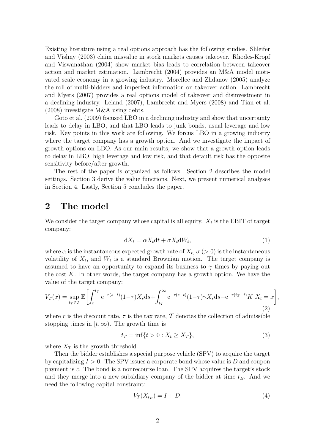Existing literature using a real options approach has the following studies. Shleifer and Vishny (2003) claim misvalue in stock markets causes takeover. Rhodes-Kropf and Viswanathan (2004) show market bias leads to correlation between takeover action and market estimation. Lambrecht (2004) provides an M&A model motivated scale economy in a growing industry. Morellec and Zhdanov (2005) analyze the roll of multi-bidders and imperfect information on takeover action. Lambrecht and Myers (2007) provides a real options model of takeover and disinvestment in a declining industry. Leland (2007), Lambrecht and Myers (2008) and Tian et al. (2008) investigate M&A using debts.

Goto et al. (2009) focused LBO in a declining industry and show that uncertainty leads to delay in LBO, and that LBO leads to junk bonds, usual leverage and low risk. Key points in this work are following. We forcus LBO in a growing industry where the target company has a growth option. And we investigate the impact of growth options on LBO. As our main results, we show that a growth option leads to delay in LBO, high leverage and low risk, and that default risk has the opposite sensitivity before/after growth.

The rest of the paper is organized as follows. Section 2 describes the model settings. Section 3 derive the value functions. Next, we present numerical analyses in Section 4. Lastly, Section 5 concludes the paper.

## **2 The model**

We consider the target company whose capital is all equity.  $X_t$  is the EBIT of target company:

$$
dX_t = \alpha X_t dt + \sigma X_t dW_t, \qquad (1)
$$

where  $\alpha$  is the instantaneous expected growth rate of  $X_t$ ,  $\sigma$  ( $> 0$ ) is the instantaneous volatility of  $X_t$ , and  $W_t$  is a standard Brownian motion. The target company is assumed to have an opportunity to expand its business to  $\gamma$  times by paying out the cost *K*. In other words, the target company has a growth option. We have the value of the target company:

$$
V_T(x) = \sup_{t_T \in T} \mathbb{E} \left[ \int_t^{t_T} e^{-r(s-t)} (1-\tau) X_s \, ds + \int_{t_T}^{\infty} e^{-r(s-t)} (1-\tau) \gamma X_s \, ds - e^{-r(t_T-t)} K \, \middle| \, X_t = x \right],\tag{2}
$$

where *r* is the discount rate,  $\tau$  is the tax rate,  $\mathcal T$  denotes the collection of admissible stopping times in  $[t, \infty)$ . The growth time is

$$
t_T = \inf\{t > 0 : X_t \ge X_T\},\tag{3}
$$

where  $X_T$  is the growth threshold.

Then the bidder establishes a special purpose vehicle (SPV) to acquire the target by capitalizing *I >* 0. The SPV issues a corporate bond whose value is *D* and coupon payment is *c*. The bond is a nonrecourse loan. The SPV acquires the target's stock and they merge into a new subsidiary company of the bidder at time  $t_B$ . And we need the following capital constraint:

$$
V_T(X_{t_B}) = I + D. \tag{4}
$$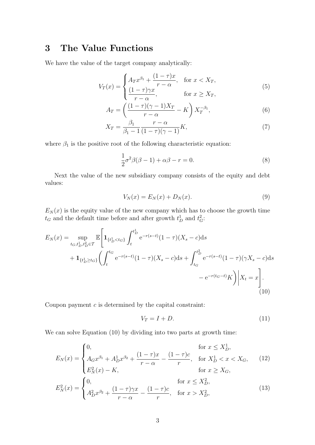# **3 The Value Functions**

We have the value of the target company analytically:

$$
V_T(x) = \begin{cases} A_T x^{\beta_1} + \frac{(1-\tau)x}{r-\alpha}, & \text{for } x < X_T, \\ \frac{(1-\tau)\gamma x}{r-\alpha}, & \text{for } x \ge X_T, \end{cases}
$$
(5)

$$
A_T = \left(\frac{(1-\tau)(\gamma-1)X_T}{r-\alpha} - K\right)X_T^{-\beta_1},\tag{6}
$$

$$
X_T = \frac{\beta_1}{\beta_1 - 1} \frac{r - \alpha}{(1 - \tau)(\gamma - 1)} K,\tag{7}
$$

where  $\beta_1$  is the positive root of the following characteristic equation:

$$
\frac{1}{2}\sigma^2 \beta(\beta - 1) + \alpha \beta - r = 0.
$$
\n(8)

Next the value of the new subsidiary company consists of the equity and debt values:

$$
V_N(x) = E_N(x) + D_N(x). \tag{9}
$$

 $E_N(x)$  is the equity value of the new company which has to choose the growth time  $t_G$  and the default time before and after growth  $t_D^1$  and  $t_G^2$ :

$$
E_N(x) = \sup_{t_G, t_D^1, t_D^2 \in T} \mathbb{E} \left[ \mathbf{1}_{\{t_D^1 < t_G\}} \int_t^{t_D^1} e^{-r(s-t)} (1-\tau) (X_s - c) \, \mathrm{d}s + \mathbf{1}_{\{t_D^1 \ge t_G\}} \left( \int_t^{t_G} e^{-r(s-t)} (1-\tau) (X_s - c) \, \mathrm{d}s + \int_{t_G}^{t_D^2} e^{-r(s-t)} (1-\tau) (\gamma X_s - c) \, \mathrm{d}s - e^{-r(t_G - t)} K \right) \, \Big| \, X_t = x \right]. \tag{10}
$$

Coupon payment *c* is determined by the capital constraint:

$$
V_T = I + D. \tag{11}
$$

We can solve Equation (10) by dividing into two parts at growth time:

$$
E_N(x) = \begin{cases} 0, & \text{for } x \le X_D^1, \\ A_G x^{\beta_1} + A_D^1 x^{\beta_2} + \frac{(1-\tau)x}{r-\alpha} - \frac{(1-\tau)c}{r}, & \text{for } X_D^1 < x < X_G, \\ E_N^2(x) - K, & \text{for } x \ge X_G, \end{cases} \tag{12}
$$
\n
$$
E_N^2(x) = \begin{cases} 0, & \text{for } x \le X_D^2, \\ A_D^2 x^{\beta_2} + \frac{(1-\tau)\gamma x}{r-\alpha} - \frac{(1-\tau)c}{r}, & \text{for } x > X_D^2, \end{cases} \tag{13}
$$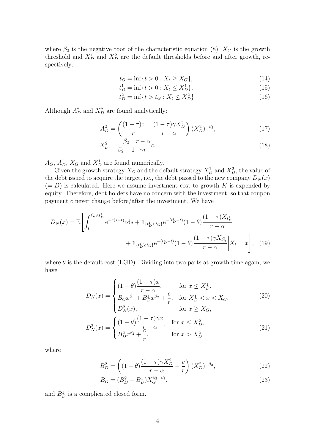where  $\beta_2$  is the negative root of the characteristic equation (8),  $X_G$  is the growth threshold and  $X_D^1$  and  $X_D^2$  are the default thresholds before and after growth, respectively:

$$
t_G = \inf\{t > 0 : X_t \ge X_G\},\tag{14}
$$

$$
t_D^1 = \inf\{t > 0 : X_t \le X_D^1\},\tag{15}
$$

$$
t_D^2 = \inf\{t > t_G : X_t \le X_D^2\}.
$$
 (16)

Although  $A_D^2$  and  $X_D^2$  are found analytically:

$$
A_D^2 = \left(\frac{(1-\tau)c}{r} - \frac{(1-\tau)\gamma X_D^2}{r-\alpha}\right) (X_D^2)^{-\beta_2},\tag{17}
$$

$$
X_D^2 = \frac{\beta_2}{\beta_2 - 1} \frac{r - \alpha}{\gamma r} c,\tag{18}
$$

 $A_G$ ,  $A_D^1$ ,  $X_G$  and  $X_D^1$  are found numerically.

Given the growth strategy  $X_G$  and the default strategy  $X_D^1$  and  $X_D^2$ , the value of the debt issued to acquire the target, i.e., the debt passed to the new company  $D<sub>N</sub>(x)$  $(= D)$  is calculated. Here we assume investment cost to growth *K* is expended by equity. Therefore, debt holders have no concern with the investment, so that coupon payment *c* never change before/after the investment. We have

$$
D_N(x) = \mathbb{E}\left[\int_t^{t_D^1 \wedge t_D^2} e^{-r(s-t)} \, ds + \mathbf{1}_{\{t_D^1 < t_G\}} e^{-(t_D^1 - t)} (1 - \theta) \frac{(1 - \tau) X_{t_D^1}}{r - \alpha} + \mathbf{1}_{\{t_D^1 \ge t_G\}} e^{-(t_D^2 - t)} (1 - \theta) \frac{(1 - \tau) \gamma X_{t_D^2}}{r - \alpha} \Big| X_t = x\right], \tag{19}
$$

where  $\theta$  is the default cost (LGD). Dividing into two parts at growth time again, we have

$$
D_N(x) = \begin{cases} (1 - \theta) \frac{(1 - \tau)x}{r - \alpha}, & \text{for } x \le X_D^1, \\ B_G x^{\beta_1} + B_D^1 x^{\beta_2} + \frac{c}{r}, & \text{for } X_D^1 < x < X_G, \\ D_N^2(x), & \text{for } x \ge X_G, \end{cases} \tag{20}
$$
\n
$$
D_N^2(x) = \begin{cases} (1 - \theta) \frac{(1 - \tau)\gamma x}{r - \alpha}, & \text{for } x \le X_D^2, \\ 0 < \frac{c}{r - \alpha} \end{cases} \tag{21}
$$

$$
D_N^2(x) = \begin{cases} (1 - \theta) \frac{r}{r - \alpha}, & \text{for } x \le X_D^*,\\ B_D^2 x^{\beta_2} + \frac{c}{r}, & \text{for } x > X_D^2, \end{cases}
$$
(2)

where

$$
B_D^2 = \left( (1 - \theta) \frac{(1 - \tau)\gamma X_D^2}{r - \alpha} - \frac{c}{r} \right) (X_D^2)^{-\beta_2},\tag{22}
$$

$$
B_G = (B_D^2 - B_D^1) X_G^{\beta_2 - \beta_1},\tag{23}
$$

and  $B_D^1$  is a complicated closed form.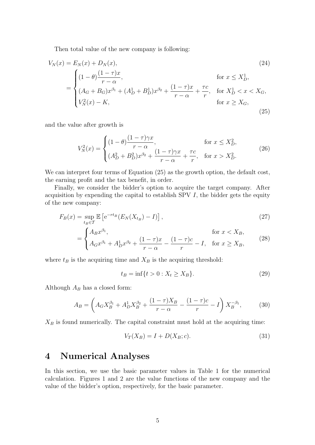Then total value of the new company is following:

$$
V_N(x) = E_N(x) + D_N(x),
$$
\n
$$
= \begin{cases}\n(1 - \theta) \frac{(1 - \tau)x}{r - \alpha}, & \text{for } x \le X_D^1, \\
(A_G + B_G)x^{\beta_1} + (A_D^1 + B_D^1)x^{\beta_2} + \frac{(1 - \tau)x}{r - \alpha} + \frac{\tau c}{r}, & \text{for } X_D^1 < x < X_G, \\
V_N^2(x) - K,\n\end{cases}
$$
\n
$$
(24)
$$
\n
$$
(24)
$$
\n
$$
r = \frac{1}{\alpha} \int_{0}^{1} \frac{(1 - \tau)x}{r - \alpha} \frac{1}{r} \frac{1}{r} \int_{0}^{1} \frac{(1 - \tau)x}{r - \alpha} \frac{1}{r} \frac{1}{r} \int_{0}^{1} \frac{(1 - \tau)x}{r - \alpha} \frac{1}{r} \int_{0}^{1} \frac{(1 - \tau)x}{r - \alpha} \frac{1}{r} \int_{0}^{1} \frac{(1 - \tau)x}{r - \alpha} \frac{1}{r} \int_{0}^{1} \frac{(1 - \tau)x}{r - \alpha} \frac{1}{r} \int_{0}^{1} \frac{(1 - \tau)x}{r - \alpha} \frac{1}{r} \int_{0}^{1} \frac{(1 - \tau)x}{r - \alpha} \frac{1}{r} \int_{0}^{1} \frac{(1 - \tau)x}{r - \alpha} \frac{1}{r} \int_{0}^{1} \frac{(1 - \tau)x}{r - \alpha} \frac{1}{r} \int_{0}^{1} \frac{(1 - \tau)x}{r - \alpha} \frac{1}{r} \int_{0}^{1} \frac{(1 - \tau)x}{r - \alpha} \frac{1}{r} \int_{0}^{1} \frac{(1 - \tau)x}{r - \alpha} \frac{1}{r} \int_{0}^{1} \frac{(1 - \tau)x}{r - \alpha} \frac{1}{r} \int_{0}^{1} \frac{(1 - \tau)x}{r - \alpha} \frac{1}{r} \int_{0}^{1} \frac{(1 - \tau)x}{r - \alpha} \frac{1}{r} \int_{0}^{1} \frac{(1 - \tau)x}{r - \alpha} \frac{1}{r} \int_{0}^{1} \frac{(1 - \tau)x}{r - \alpha} \int_{0}^{1} \frac{(1 - \tau)x}{r - \alpha} \frac{1}{r} \int
$$

and the value after growth is

$$
V_N^2(x) = \begin{cases} (1 - \theta) \frac{(1 - \tau)\gamma x}{r - \alpha}, & \text{for } x \le X_D^2, \\ (A_D^2 + B_D^2) x^{\beta_2} + \frac{(1 - \tau)\gamma x}{r - \alpha} + \frac{\tau c}{r}, & \text{for } x > X_D^2. \end{cases}
$$
(26)

We can interpret four terms of Equation (25) as the growth option, the default cost, the earning profit and the tax benefit, in order.

Finally, we consider the bidder's option to acquire the target company. After acquisition by expending the capital to establish SPV *I*, the bidder gets the equity of the new company:

$$
F_B(x) = \sup_{t_B \in \mathcal{T}} \mathbb{E}\left[e^{-rt_B}(E_N(X_{t_B}) - I)\right],\tag{27}
$$

$$
= \begin{cases} A_B x^{\beta_1}, & \text{for } x < X_B, \\ A_G x^{\beta_1} + A_D^1 x^{\beta_2} + \frac{(1-\tau)x}{r-\alpha} - \frac{(1-\tau)c}{r} - I, & \text{for } x \ge X_B, \end{cases}
$$
(28)

where  $t_B$  is the acquiring time and  $X_B$  is the acquiring threshold:

$$
t_B = \inf\{t > 0 : X_t \ge X_B\}.
$$
 (29)

Although *A<sup>B</sup>* has a closed form:

$$
A_B = \left( A_G X_B^{\beta_1} + A_D^1 X_B^{\beta_2} + \frac{(1-\tau)X_B}{r-\alpha} - \frac{(1-\tau)c}{r} - I \right) X_B^{-\beta_1},\tag{30}
$$

 $X_B$  is found numerically. The capital constraint must hold at the acquiring time:

$$
V_T(X_B) = I + D(X_B; c).
$$
 (31)

## **4 Numerical Analyses**

In this section, we use the basic parameter values in Table 1 for the numerical calculation. Figures 1 and 2 are the value functions of the new company and the value of the bidder's option, respectively, for the basic parameter.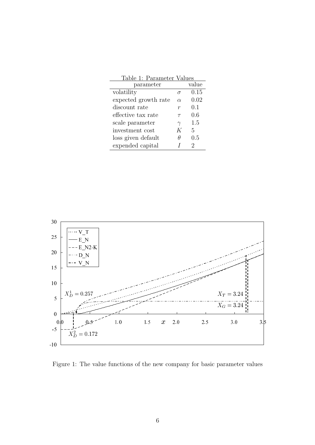| Table 1: Parameter Values |          |       |
|---------------------------|----------|-------|
| parameter                 |          | value |
| volatility                | $\sigma$ | 0.15  |
| expected growth rate      | $\alpha$ | 0.02  |
| discount rate             | r        | 0.1   |
| effective tax rate        | $\tau$   | 0.6   |
| scale parameter           | $\gamma$ | 1.5   |
| investment cost           | K        | 5     |
| loss given default        | H        | 0.5   |
| expended capital          |          | 2     |



Figure 1: The value functions of the new company for basic parameter values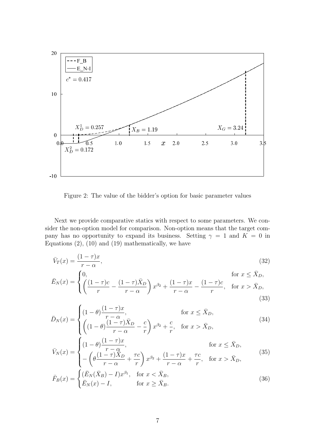

Figure 2: The value of the bidder's option for basic parameter values

Next we provide comparative statics with respect to some parameters. We consider the non-option model for comparison. Non-option means that the target company has no opportunity to expand its business. Setting  $\gamma = 1$  and  $K = 0$  in Equations  $(2)$ ,  $(10)$  and  $(19)$  mathematically, we have

$$
\bar{V}_T(x) = \frac{(1-\tau)x}{r-\alpha},\tag{32}
$$

$$
\bar{E}_N(x) = \begin{cases} 0, & \text{for } x \le \bar{X}_D, \\ \left(\frac{(1-\tau)c}{r} - \frac{(1-\tau)\bar{X}_D}{r-\alpha}\right)x^{\beta_2} + \frac{(1-\tau)x}{r-\alpha} - \frac{(1-\tau)c}{r}, & \text{for } x > \bar{X}_D, \end{cases}
$$
(33)

$$
\bar{D}_N(x) = \begin{cases}\n(1-\theta)\frac{(1-\tau)x}{r-\alpha}, & \text{for } x \le \bar{X}_D, \\
\left((1-\theta)\frac{(1-\tau)\bar{X}_D}{r-\alpha} - \frac{c}{r}\right)x^{\beta_2} + \frac{c}{r}, & \text{for } x > \bar{X}_D,\n\end{cases}
$$
\n(34)

$$
\bar{V}_N(x) = \begin{cases}\n(1-\theta)\frac{(1-\tau)x}{r-\alpha}, & \text{for } x \le \bar{X}_D, \\
-\left(\theta\frac{(1-\tau)\bar{X}_D}{r-\alpha} + \frac{\tau c}{r}\right)x^{\beta_2} + \frac{(1-\tau)x}{r-\alpha} + \frac{\tau c}{r}, & \text{for } x > \bar{X}_D,\n\end{cases}
$$
\n(35)

$$
\bar{F}_B(x) = \begin{cases}\n(\bar{E}_N(\bar{X}_B) - I)x^{\beta_1}, & \text{for } x < \bar{X}_B, \\
\bar{E}_N(x) - I, & \text{for } x \ge \bar{X}_B.\n\end{cases}
$$
\n(36)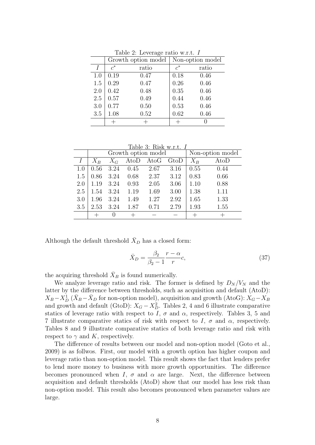|     |       | Growth option model |       | Non-option model |
|-----|-------|---------------------|-------|------------------|
| I   | $c^*$ | ratio               | $c^*$ | ratio            |
| 1.0 | 0.19  | 0.47                | 0.18  | 0.46             |
| 1.5 | 0.29  | 0.47                | 0.26  | 0.46             |
| 2.0 | 0.42  | 0.48                | 0.35  | 0.46             |
| 2.5 | 0.57  | 0.49                | 0.44  | 0.46             |
| 3.0 | 0.77  | 0.50                | 0.53  | 0.46             |
| 3.5 | 1.08  | 0.52                | 0.62  | 0.46             |
|     |       |                     |       |                  |

Table 2: Leverage ratio w.r.t. *I*

Table 3: Risk w.r.t. *I*

|     |       |                  | Growth option model |      | Non-option model |       |      |
|-----|-------|------------------|---------------------|------|------------------|-------|------|
|     | $X_B$ | $X_G$            | AtoD                | AtoG | GtoD             | $X_B$ | AtoD |
| 1.0 | 0.56  | 3.24             | 0.45                | 2.67 | 3.16             | 0.55  | 0.44 |
| 1.5 | 0.86  | 3.24             | 0.68                | 2.37 | 3.12             | 0.83  | 0.66 |
| 2.0 | 1.19  | 3.24             | 0.93                | 2.05 | 3.06             | 1.10  | 0.88 |
| 2.5 | 1.54  | 3.24             | 1.19                | 1.69 | 3.00             | 1.38  | 1.11 |
| 3.0 | 1.96  | 3.24             | 1.49                | 1.27 | 2.92             | 1.65  | 1.33 |
| 3.5 | 2.53  | 3.24             | 1.87                | 0.71 | 2.79             | 1.93  | 1.55 |
|     |       | $\left( \right)$ |                     |      |                  |       |      |

Although the default threshold  $\bar{X}_D$  has a closed form:

$$
\bar{X}_D = \frac{\beta_2}{\beta_2 - 1} \frac{r - \alpha}{r} c,\tag{37}
$$

the acquiring threshold  $\bar{X}_B$  is found numerically.

We analyze leverage ratio and risk. The former is defined by  $D<sub>N</sub>/V<sub>N</sub>$  and the latter by the difference between thresholds, such as acquisition and default (AtoD):  $X_B - X_D^1$  ( $\bar{X}_B - \bar{X}_D$  for non-option model), acquisition and growth (AtoG):  $\hat{X}_G - \hat{X}_B$ and growth and default (GtoD):  $X_G - X_D^2$ . Tables 2, 4 and 6 illustrate comparative statics of leverage ratio with respect to *I*,  $\sigma$  and  $\alpha$ , respectively. Tables 3, 5 and 7 illustrate comparative statics of risk with respect to *I*, *σ* and *α*, respectively. Tables 8 and 9 illustrate comparative statics of both leverage ratio and risk with respect to  $\gamma$  and K, respectively.

The difference of results between our model and non-option model (Goto et al., 2009) is as follwos. First, our model with a growth option has higher coupon and leverage ratio than non-option model. This result shows the fact that lenders prefer to lend more money to business with more growth opportunities. The difference becomes pronounced when *I*,  $\sigma$  and  $\alpha$  are large. Next, the difference between acquisition and default thresholds (AtoD) show that our model has less risk than non-option model. This result also becomes pronounced when parameter values are large.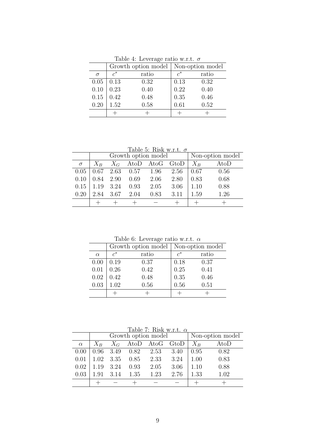|          |       | Growth option model |                  | Non-option model |
|----------|-------|---------------------|------------------|------------------|
| $\sigma$ | $c^*$ | ratio               | $\mathfrak{c}^*$ | ratio            |
| 0.05     | 0.13  | 0.32                | 0.13             | 0.32             |
| 0.10     | 0.23  | 0.40                | 0.22             | 0.40             |
| 0.15     | 0.42  | 0.48                | 0.35             | 0.46             |
| 0.20     | 1.52  | 0.58                | 0.61             | 0.52             |
|          |       |                     |                  |                  |

Table 4: Leverage ratio w.r.t. *σ*

Table 5: Risk w.r.t. *σ*

|          |           |           | Growth option model                                      |      | Non-option model     |       |      |
|----------|-----------|-----------|----------------------------------------------------------|------|----------------------|-------|------|
| $\sigma$ | $X_B$     |           |                                                          |      | $X_G$ AtoD AtoG GtoD | $X_B$ | AtoD |
|          |           |           | $0.05 \begin{array}{ l} 0.67 \end{array}$ 2.63 0.57 1.96 |      | 2.56                 | 0.67  | 0.56 |
| 0.10     | 0.84 2.90 |           | 0.69                                                     | 2.06 | 2.80                 | 0.83  | 0.68 |
| 0.15     |           | 1.19 3.24 | 0.93                                                     | 2.05 | 3.06                 | 1.10  | 0.88 |
| 0.20     | 2.84      | - 3.67    | 2.04                                                     | 0.83 | 3.11                 | 1.59  | 1.26 |
|          |           |           |                                                          |      |                      |       |      |

Table 6: Leverage ratio w.r.t. *α*

|          |       | Growth option model |       | Non-option model |
|----------|-------|---------------------|-------|------------------|
| $\alpha$ | $c^*$ | ratio               | $c^*$ | ratio            |
| 0.00     | 0.19  | 0.37                | 0.18  | 0.37             |
| 0.01     | 0.26  | 0.42                | 0.25  | 0.41             |
| 0.02     | 0.42  | 0.48                | 0.35  | 0.46             |
| 0.03     | 1.02  | 0.56                | 0.56  | 0.51             |
|          |       |                     |       |                  |

Table 7: Risk w.r.t. *α*

|          |       | Growth option model |                             | Non-option model     |      |         |      |
|----------|-------|---------------------|-----------------------------|----------------------|------|---------|------|
| $\alpha$ | $X_B$ |                     |                             | $X_G$ AtoD AtoG GtoD |      | $X_{B}$ | AtoD |
| 0.00     |       |                     | $0.96$ $3.49$ $0.82$ $2.53$ |                      | 3.40 | 0.95    | 0.82 |
| 0.01     | 1.02  | 3.35                | 0.85                        | 2.33                 | 3.24 | 1.00    | 0.83 |
| 0.02     | 1.19  | 3.24                | 0.93                        | 2.05                 | 3.06 | 1.10    | 0.88 |
| 0.03     | 1.91  | 3.14                | 1.35                        | 1.23                 | 2.76 | 1.33    | 1.02 |
|          |       |                     |                             |                      |      |         |      |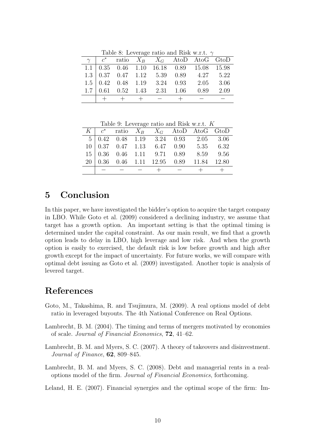Table 8: Leverage ratio and Risk w.r.t. *γ*

|  |  |                   | $\gamma$ $c^*$ ratio $X_B$ $X_G$ AtoD AtoG GtoD                                                            |  |
|--|--|-------------------|------------------------------------------------------------------------------------------------------------|--|
|  |  |                   | $1.1 \mid 0.35 \quad 0.46 \quad 1.10 \quad 16.18 \quad 0.89 \quad 15.08 \quad 15.98$                       |  |
|  |  |                   | $1.3 \begin{array}{ l} 0.37 \quad 0.47 \quad 1.12 \quad 5.39 \quad 0.89 \quad 4.27 \quad 5.22 \end{array}$ |  |
|  |  |                   | $1.5 \begin{array}{ l} 0.42 \end{array}$ 0.48 1.19 3.24 0.93 2.05 3.06                                     |  |
|  |  |                   | $1.7 \begin{array}{ l} 0.61 \quad 0.52 \quad 1.43 \quad 2.31 \quad 1.06 \quad 0.89 \quad 2.09 \end{array}$ |  |
|  |  | $+ + + + - + + -$ |                                                                                                            |  |

Table 9: Leverage ratio and Risk w.r.t. *K*

|  |  |  | $K \mid c^*$ ratio $X_B$ $X_G$ AtoD AtoG GtoD                                                                                               |  |
|--|--|--|---------------------------------------------------------------------------------------------------------------------------------------------|--|
|  |  |  |                                                                                                                                             |  |
|  |  |  | $\begin{array}{c cccccc}5 & 0.42 & 0.48 & 1.19 & 3.24 & 0.93 & 2.05 & 3.06\\10 & 0.37 & 0.47 & 1.13 & 6.47 & 0.90 & 5.35 & 6.32\end{array}$ |  |
|  |  |  | $15 \begin{array}{ l} 0.36 \quad 0.46 \quad 1.11 \quad 9.71 \quad 0.89 \quad 8.59 \quad 9.56 \end{array}$                                   |  |
|  |  |  | $20\begin{array}{ l} 0.36 \end{array}$ 0.46 1.11 12.95 0.89 11.84 12.80                                                                     |  |
|  |  |  | $   +$ $ +$ $+$                                                                                                                             |  |

#### **5 Conclusion**

In this paper, we have investigated the bidder's option to acquire the target company in LBO. While Goto et al. (2009) considered a declining industry, we assume that target has a growth option. An important setting is that the optimal timing is determined under the capital constraint. As our main result, we find that a growth option leads to delay in LBO, high leverage and low risk. And when the growth option is easily to exercised, the default risk is low before growth and high after growth except for the impact of uncertainty. For future works, we will compare with optimal debt issuing as Goto et al. (2009) investigated. Another topic is analysis of levered target.

#### **References**

- Goto, M., Takashima, R. and Tsujimura, M. (2009). A real options model of debt ratio in leveraged buyouts. The 4th National Conference on Real Options.
- Lambrecht, B. M. (2004). The timing and terms of mergers motivated by economies of scale. *Journal of Financial Economics*, **72**, 41–62.
- Lambrecht, B. M. and Myers, S. C. (2007). A theory of takeovers and disinvestment. *Journal of Finance*, **62**, 809–845.
- Lambrecht, B. M. and Myers, S. C. (2008). Debt and managerial rents in a realoptions model of the firm. *Journal of Financial Economics*, forthcoming.

Leland, H. E. (2007). Financial synergies and the optimal scope of the firm: Im-